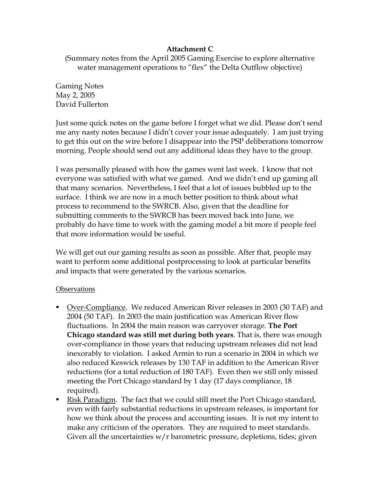## **Attachment C**

(Summary notes from the April 2005 Gaming Exercise to explore alternative water management operations to "flex" the Delta Outflow objective)

Gaming Notes May 2, 2005 David Fullerton

Just some quick notes on the game before I forget what we did. Please don't send me any nasty notes because I didn't cover your issue adequately. I am just trying to get this out on the wire before I disappear into the PSP deliberations tomorrow morning. People should send out any additional ideas they have to the group.

I was personally pleased with how the games went last week. I know that not everyone was satisfied with what we gamed. And we didn't end up gaming all that many scenarios. Nevertheless, I feel that a lot of issues bubbled up to the surface. I think we are now in a much better position to think about what process to recommend to the SWRCB. Also, given that the deadline for submitting comments to the SWRCB has been moved back into June, we probably do have time to work with the gaming model a bit more if people feel that more information would be useful.

We will get out our gaming results as soon as possible. After that, people may want to perform some additional postprocessing to look at particular benefits and impacts that were generated by the various scenarios.

## **Observations**

- Over-Compliance. We reduced American River releases in 2003 (30 TAF) and 2004 (50 TAF). In 2003 the main justification was American River flow fluctuations. In 2004 the main reason was carryover storage. **The Port Chicago standard was still met during both years**. That is, there was enough over-compliance in those years that reducing upstream releases did not lead inexorably to violation. I asked Armin to run a scenario in 2004 in which we also reduced Keswick releases by 130 TAF in addition to the American River reductions (for a total reduction of 180 TAF). Even then we still only missed meeting the Port Chicago standard by 1 day (17 days compliance, 18 required).
- Risk Paradigm. The fact that we could still meet the Port Chicago standard, even with fairly substantial reductions in upstream releases, is important for how we think about the process and accounting issues. It is not my intent to make any criticism of the operators. They are required to meet standards. Given all the uncertainties  $w/r$  barometric pressure, depletions, tides; given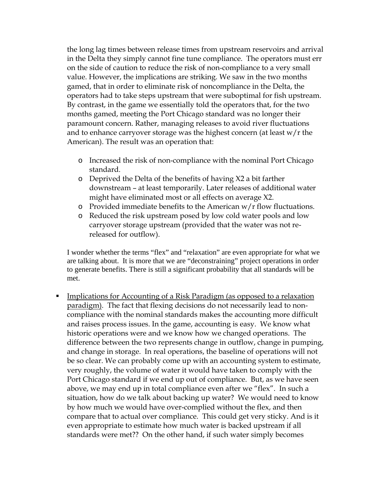the long lag times between release times from upstream reservoirs and arrival in the Delta they simply cannot fine tune compliance. The operators must err on the side of caution to reduce the risk of non-compliance to a very small value. However, the implications are striking. We saw in the two months gamed, that in order to eliminate risk of noncompliance in the Delta, the operators had to take steps upstream that were suboptimal for fish upstream. By contrast, in the game we essentially told the operators that, for the two months gamed, meeting the Port Chicago standard was no longer their paramount concern. Rather, managing releases to avoid river fluctuations and to enhance carryover storage was the highest concern (at least  $w/r$  the American). The result was an operation that:

- o Increased the risk of non-compliance with the nominal Port Chicago standard.
- o Deprived the Delta of the benefits of having X2 a bit farther downstream – at least temporarily. Later releases of additional water might have eliminated most or all effects on average X2.
- $\circ$  Provided immediate benefits to the American w/r flow fluctuations.
- o Reduced the risk upstream posed by low cold water pools and low carryover storage upstream (provided that the water was not rereleased for outflow).

I wonder whether the terms "flex" and "relaxation" are even appropriate for what we are talking about. It is more that we are "deconstraining" project operations in order to generate benefits. There is still a significant probability that all standards will be met.

**Implications for Accounting of a Risk Paradigm (as opposed to a relaxation** paradigm). The fact that flexing decisions do not necessarily lead to noncompliance with the nominal standards makes the accounting more difficult and raises process issues. In the game, accounting is easy. We know what historic operations were and we know how we changed operations. The difference between the two represents change in outflow, change in pumping, and change in storage. In real operations, the baseline of operations will not be so clear. We can probably come up with an accounting system to estimate, very roughly, the volume of water it would have taken to comply with the Port Chicago standard if we end up out of compliance. But, as we have seen above, we may end up in total compliance even after we "flex". In such a situation, how do we talk about backing up water? We would need to know by how much we would have over-complied without the flex, and then compare that to actual over compliance. This could get very sticky. And is it even appropriate to estimate how much water is backed upstream if all standards were met?? On the other hand, if such water simply becomes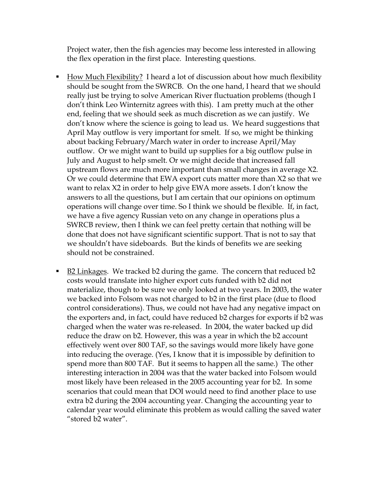Project water, then the fish agencies may become less interested in allowing the flex operation in the first place. Interesting questions.

- How Much Flexibility? I heard a lot of discussion about how much flexibility should be sought from the SWRCB. On the one hand, I heard that we should really just be trying to solve American River fluctuation problems (though I don't think Leo Winternitz agrees with this). I am pretty much at the other end, feeling that we should seek as much discretion as we can justify. We don't know where the science is going to lead us. We heard suggestions that April May outflow is very important for smelt. If so, we might be thinking about backing February/March water in order to increase April/May outflow. Or we might want to build up supplies for a big outflow pulse in July and August to help smelt. Or we might decide that increased fall upstream flows are much more important than small changes in average X2. Or we could determine that EWA export cuts matter more than X2 so that we want to relax X2 in order to help give EWA more assets. I don't know the answers to all the questions, but I am certain that our opinions on optimum operations will change over time. So I think we should be flexible. If, in fact, we have a five agency Russian veto on any change in operations plus a SWRCB review, then I think we can feel pretty certain that nothing will be done that does not have significant scientific support. That is not to say that we shouldn't have sideboards. But the kinds of benefits we are seeking should not be constrained.
- B2 Linkages. We tracked b2 during the game. The concern that reduced b2 costs would translate into higher export cuts funded with b2 did not materialize, though to be sure we only looked at two years. In 2003, the water we backed into Folsom was not charged to b2 in the first place (due to flood control considerations). Thus, we could not have had any negative impact on the exporters and, in fact, could have reduced b2 charges for exports if b2 was charged when the water was re-released. In 2004, the water backed up did reduce the draw on b2. However, this was a year in which the b2 account effectively went over 800 TAF, so the savings would more likely have gone into reducing the overage. (Yes, I know that it is impossible by definition to spend more than 800 TAF. But it seems to happen all the same.) The other interesting interaction in 2004 was that the water backed into Folsom would most likely have been released in the 2005 accounting year for b2. In some scenarios that could mean that DOI would need to find another place to use extra b2 during the 2004 accounting year. Changing the accounting year to calendar year would eliminate this problem as would calling the saved water "stored b2 water".